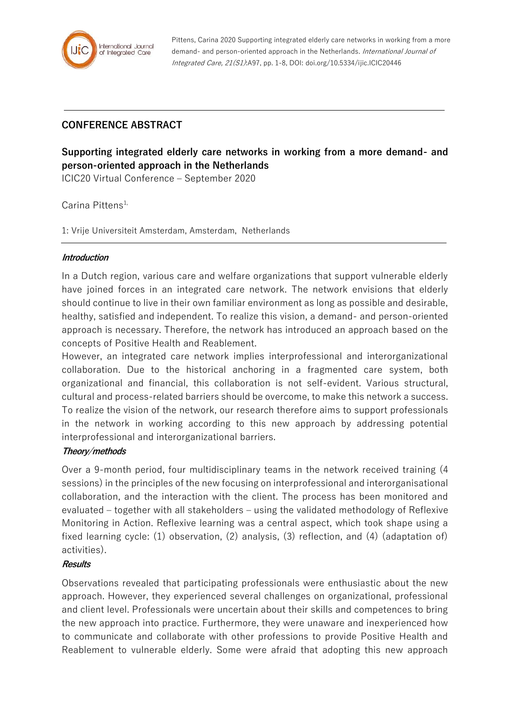

Pittens, Carina 2020 Supporting integrated elderly care networks in working from a more demand- and person-oriented approach in the Netherlands. International Journal of Integrated Care, 21(S1):A97, pp. 1-8, DOI: doi.org/10.5334/ijic.ICIC20446

# **CONFERENCE ABSTRACT**

# **Supporting integrated elderly care networks in working from a more demand- and person-oriented approach in the Netherlands**

ICIC20 Virtual Conference – September 2020

Carina Pittens<sup>1,</sup>

1: Vrije Universiteit Amsterdam, Amsterdam, Netherlands

#### **Introduction**

In a Dutch region, various care and welfare organizations that support vulnerable elderly have joined forces in an integrated care network. The network envisions that elderly should continue to live in their own familiar environment as long as possible and desirable, healthy, satisfied and independent. To realize this vision, a demand- and person-oriented approach is necessary. Therefore, the network has introduced an approach based on the concepts of Positive Health and Reablement.

However, an integrated care network implies interprofessional and interorganizational collaboration. Due to the historical anchoring in a fragmented care system, both organizational and financial, this collaboration is not self-evident. Various structural, cultural and process-related barriers should be overcome, to make this network a success. To realize the vision of the network, our research therefore aims to support professionals in the network in working according to this new approach by addressing potential interprofessional and interorganizational barriers.

# **Theory/methods**

Over a 9-month period, four multidisciplinary teams in the network received training (4 sessions) in the principles of the new focusing on interprofessional and interorganisational collaboration, and the interaction with the client. The process has been monitored and evaluated – together with all stakeholders – using the validated methodology of Reflexive Monitoring in Action. Reflexive learning was a central aspect, which took shape using a fixed learning cycle: (1) observation, (2) analysis, (3) reflection, and (4) (adaptation of) activities).

# **Results**

Observations revealed that participating professionals were enthusiastic about the new approach. However, they experienced several challenges on organizational, professional and client level. Professionals were uncertain about their skills and competences to bring the new approach into practice. Furthermore, they were unaware and inexperienced how to communicate and collaborate with other professions to provide Positive Health and Reablement to vulnerable elderly. Some were afraid that adopting this new approach